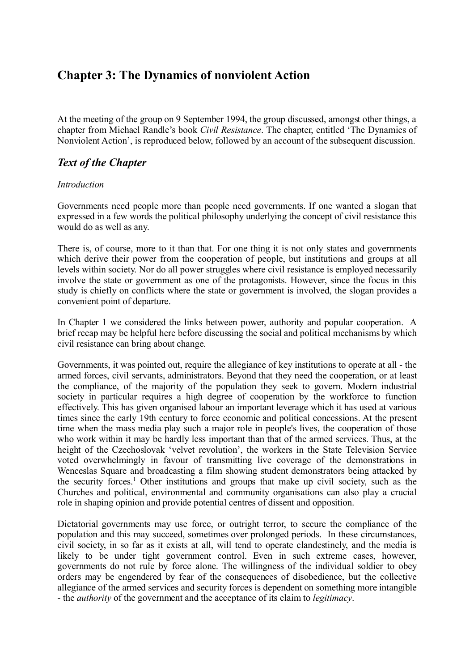# **Chapter 3: The Dynamics of nonviolent Action**

At the meeting of the group on 9 September 1994, the group discussed, amongst other things, a chapter from Michael Randle's book *Civil Resistance*. The chapter, entitled 'The Dynamics of Nonviolent Action', is reproduced below, followed by an account of the subsequent discussion.

## *Text of the Chapter*

#### *Introduction*

Governments need people more than people need governments. If one wanted a slogan that expressed in a few words the political philosophy underlying the concept of civil resistance this would do as well as any.

There is, of course, more to it than that. For one thing it is not only states and governments which derive their power from the cooperation of people, but institutions and groups at all levels within society. Nor do all power struggles where civil resistance is employed necessarily involve the state or government as one of the protagonists. However, since the focus in this study is chiefly on conflicts where the state or government is involved, the slogan provides a convenient point of departure.

In Chapter 1 we considered the links between power, authority and popular cooperation. A brief recap may be helpful here before discussing the social and political mechanisms by which civil resistance can bring about change.

Governments, it was pointed out, require the allegiance of key institutions to operate at all - the armed forces, civil servants, administrators. Beyond that they need the cooperation, or at least the compliance, of the majority of the population they seek to govern. Modern industrial society in particular requires a high degree of cooperation by the workforce to function effectively. This has given organised labour an important leverage which it has used at various times since the early 19th century to force economic and political concessions. At the present time when the mass media play such a major role in people's lives, the cooperation of those who work within it may be hardly less important than that of the armed services. Thus, at the height of the Czechoslovak 'velvet revolution', the workers in the State Television Service voted overwhelmingly in favour of transmitting live coverage of the demonstrations in Wenceslas Square and broadcasting a film showing student demonstrators being attacked by the security forces. [1](#page-15-0) Other institutions and groups that make up civil society, such as the Churches and political, environmental and community organisations can also play a crucial role in shaping opinion and provide potential centres of dissent and opposition.

Dictatorial governments may use force, or outright terror, to secure the compliance of the population and this may succeed, sometimes over prolonged periods. In these circumstances, civil society, in so far as it exists at all, will tend to operate clandestinely, and the media is likely to be under tight government control. Even in such extreme cases, however, governments do not rule by force alone. The willingness of the individual soldier to obey orders may be engendered by fear of the consequences of disobedience, but the collective allegiance of the armed services and security forces is dependent on something more intangible - the *authority* of the government and the acceptance of its claim to *legitimacy*.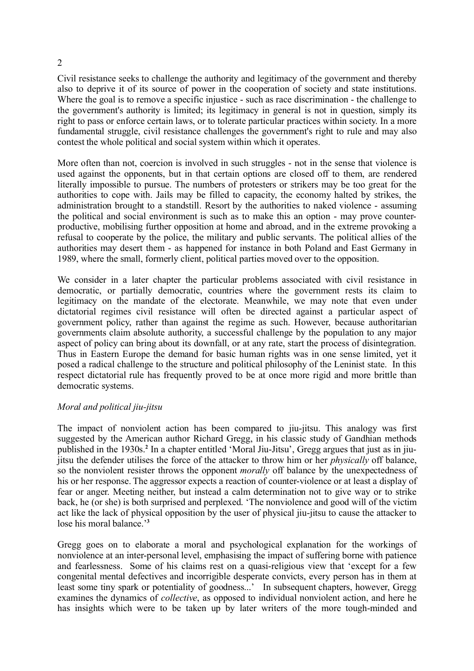Civil resistance seeks to challenge the authority and legitimacy of the government and thereby also to deprive it of its source of power in the cooperation of society and state institutions. Where the goal is to remove a specific injustice - such as race discrimination - the challenge to the government's authority is limited; its legitimacy in general is not in question, simply its right to pass or enforce certain laws, or to tolerate particular practices within society. In a more fundamental struggle, civil resistance challenges the government's right to rule and may also contest the whole political and social system within which it operates.

More often than not, coercion is involved in such struggles - not in the sense that violence is used against the opponents, but in that certain options are closed off to them, are rendered literally impossible to pursue. The numbers of protesters or strikers may be too great for the authorities to cope with. Jails may be filled to capacity, the economy halted by strikes, the administration brought to a standstill. Resort by the authorities to naked violence - assuming the political and social environment is such as to make this an option - may prove counterproductive, mobilising further opposition at home and abroad, and in the extreme provoking a refusal to cooperate by the police, the military and public servants. The political allies of the authorities may desert them - as happened for instance in both Poland and East Germany in 1989, where the small, formerly client, political parties moved over to the opposition.

We consider in a later chapter the particular problems associated with civil resistance in democratic, or partially democratic, countries where the government rests its claim to legitimacy on the mandate of the electorate. Meanwhile, we may note that even under dictatorial regimes civil resistance will often be directed against a particular aspect of government policy, rather than against the regime as such. However, because authoritarian governments claim absolute authority, a successful challenge by the population to any major aspect of policy can bring about its downfall, or at any rate, start the process of disintegration. Thus in Eastern Europe the demand for basic human rights was in one sense limited, yet it posed a radical challenge to the structure and political philosophy of the Leninist state. In this respect dictatorial rule has frequently proved to be at once more rigid and more brittle than democratic systems.

#### *Moral and political jiu-jitsu*

The impact of nonviolent action has been compared to jiu-jitsu. This analogy was first suggested by the American author Richard Gregg, in his classic study of Gandhian methods published in the 1930s. **[2](#page-15-1)** In a chapter entitled 'Moral Jiu-Jitsu', Gregg argues that just as in jiujitsu the defender utilises the force of the attacker to throw him or her *physically* off balance, so the nonviolent resister throws the opponent *morally* off balance by the unexpectedness of his or her response. The aggressor expects a reaction of counter-violence or at least a display of fear or anger. Meeting neither, but instead a calm determination not to give way or to strike back, he (or she) is both surprised and perplexed. 'The nonviolence and good will of the victim act like the lack of physical opposition by the user of physical jiu-jitsu to cause the attacker to lose his moral balance.'**[3](#page-15-2)**

Gregg goes on to elaborate a moral and psychological explanation for the workings of nonviolence at an inter-personal level, emphasising the impact of suffering borne with patience and fearlessness. Some of his claims rest on a quasi-religious view that 'except for a few congenital mental defectives and incorrigible desperate convicts, every person has in them at least some tiny spark or potentiality of goodness...' In subsequent chapters, however, Gregg examines the dynamics of *collective*, as opposed to individual nonviolent action, and here he has insights which were to be taken up by later writers of the more tough-minded and

#### 2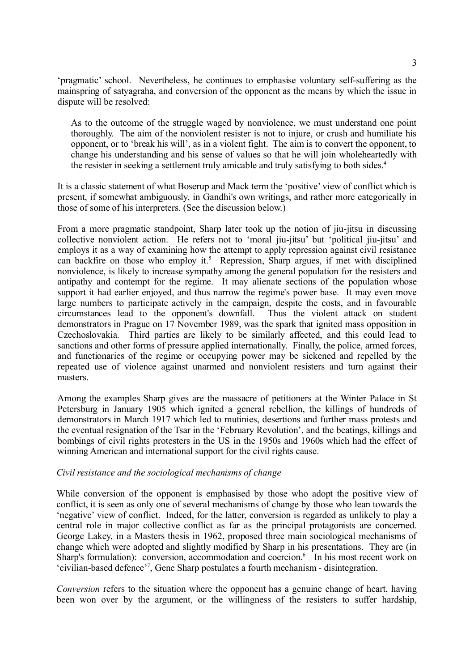'pragmatic' school. Nevertheless, he continues to emphasise voluntary self-suffering as the mainspring of satyagraha, and conversion of the opponent as the means by which the issue in dispute will be resolved:

As to the outcome of the struggle waged by nonviolence, we must understand one point thoroughly. The aim of the nonviolent resister is not to injure, or crush and humiliate his opponent, or to 'break his will', as in a violent fight. The aim is to convert the opponent, to change his understanding and his sense of values so that he will join wholeheartedly with the resister in seeking a settlement truly amicable and truly satisfying to both sides. [4](#page-15-3)

It is a classic statement of what Boserup and Mack term the 'positive' view of conflict which is present, if somewhat ambiguously, in Gandhi's own writings, and rather more categorically in those of some of his interpreters. (See the discussion below.)

From a more pragmatic standpoint, Sharp later took up the notion of jiu-jitsu in discussing collective nonviolent action. He refers not to 'moral jiu-jitsu' but 'political jiu-jitsu' and employs it as a way of examining how the attempt to apply repression against civil resistance can backfire on those who employ it.<sup>[5](#page-15-4)</sup> Repression, Sharp argues, if met with disciplined nonviolence, is likely to increase sympathy among the general population for the resisters and antipathy and contempt for the regime. It may alienate sections of the population whose support it had earlier enjoyed, and thus narrow the regime's power base. It may even move large numbers to participate actively in the campaign, despite the costs, and in favourable circumstances lead to the opponent's downfall. Thus the violent attack on student demonstrators in Prague on 17 November 1989, was the spark that ignited mass opposition in Czechoslovakia. Third parties are likely to be similarly affected, and this could lead to sanctions and other forms of pressure applied internationally. Finally, the police, armed forces, and functionaries of the regime or occupying power may be sickened and repelled by the repeated use of violence against unarmed and nonviolent resisters and turn against their masters.

Among the examples Sharp gives are the massacre of petitioners at the Winter Palace in St Petersburg in January 1905 which ignited a general rebellion, the killings of hundreds of demonstrators in March 1917 which led to mutinies, desertions and further mass protests and the eventual resignation of the Tsar in the 'February Revolution', and the beatings, killings and bombings of civil rights protesters in the US in the 1950s and 1960s which had the effect of winning American and international support for the civil rights cause.

#### *Civil resistance and the sociological mechanisms of change*

While conversion of the opponent is emphasised by those who adopt the positive view of conflict, it is seen as only one of several mechanisms of change by those who lean towards the 'negative' view of conflict. Indeed, for the latter, conversion is regarded as unlikely to play a central role in major collective conflict as far as the principal protagonists are concerned. George Lakey, in a Masters thesis in 1962, proposed three main sociological mechanisms of change which were adopted and slightly modified by Sharp in his presentations. They are (in Sharp's formulation): conversion, accommodation and coercion.<sup>[6](#page-15-5)</sup> In his most recent work on 'civilian-based defence'[7](#page-15-6) , Gene Sharp postulates a fourth mechanism - disintegration.

*Conversion* refers to the situation where the opponent has a genuine change of heart, having been won over by the argument, or the willingness of the resisters to suffer hardship,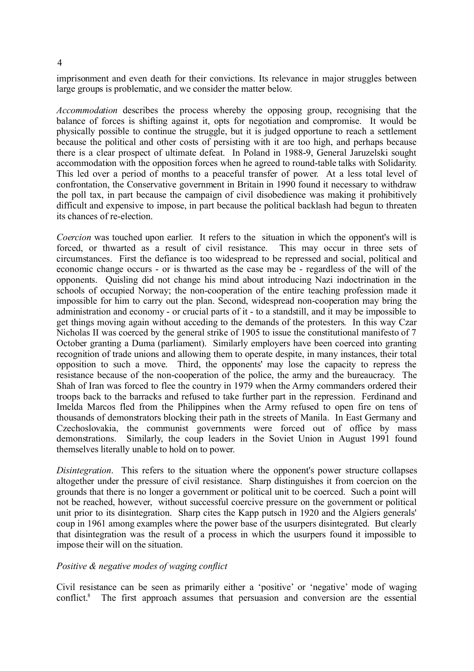imprisonment and even death for their convictions. Its relevance in major struggles between large groups is problematic, and we consider the matter below.

*Accommodation* describes the process whereby the opposing group, recognising that the balance of forces is shifting against it, opts for negotiation and compromise. It would be physically possible to continue the struggle, but it is judged opportune to reach a settlement because the political and other costs of persisting with it are too high, and perhaps because there is a clear prospect of ultimate defeat. In Poland in 1988-9, General Jaruzelski sought accommodation with the opposition forces when he agreed to round-table talks with Solidarity. This led over a period of months to a peaceful transfer of power. At a less total level of confrontation, the Conservative government in Britain in 1990 found it necessary to withdraw the poll tax, in part because the campaign of civil disobedience was making it prohibitively difficult and expensive to impose, in part because the political backlash had begun to threaten its chances of re-election.

*Coercion* was touched upon earlier. It refers to the situation in which the opponent's will is forced, or thwarted as a result of civil resistance. This may occur in three sets of circumstances. First the defiance is too widespread to be repressed and social, political and economic change occurs - or is thwarted as the case may be - regardless of the will of the opponents. Quisling did not change his mind about introducing Nazi indoctrination in the schools of occupied Norway; the non-cooperation of the entire teaching profession made it impossible for him to carry out the plan. Second, widespread non-cooperation may bring the administration and economy - or crucial parts of it - to a standstill, and it may be impossible to get things moving again without acceding to the demands of the protesters. In this way Czar Nicholas II was coerced by the general strike of 1905 to issue the constitutional manifesto of 7 October granting a Duma (parliament). Similarly employers have been coerced into granting recognition of trade unions and allowing them to operate despite, in many instances, their total opposition to such a move. Third, the opponents' may lose the capacity to repress the resistance because of the non-cooperation of the police, the army and the bureaucracy. The Shah of Iran was forced to flee the country in 1979 when the Army commanders ordered their troops back to the barracks and refused to take further part in the repression. Ferdinand and Imelda Marcos fled from the Philippines when the Army refused to open fire on tens of thousands of demonstrators blocking their path in the streets of Manila. In East Germany and Czechoslovakia, the communist governments were forced out of office by mass demonstrations. Similarly, the coup leaders in the Soviet Union in August 1991 found themselves literally unable to hold on to power.

*Disintegration*. This refers to the situation where the opponent's power structure collapses altogether under the pressure of civil resistance. Sharp distinguishes it from coercion on the grounds that there is no longer a government or political unit to be coerced. Such a point will not be reached, however, without successful coercive pressure on the government or political unit prior to its disintegration. Sharp cites the Kapp putsch in 1920 and the Algiers generals' coup in 1961 among examples where the power base of the usurpers disintegrated. But clearly that disintegration was the result of a process in which the usurpers found it impossible to impose their will on the situation.

#### *Positive & negative modes of waging conflict*

Civil resistance can be seen as primarily either a 'positive' or 'negative' mode of waging conflict.[8](#page-15-7) The first approach assumes that persuasion and conversion are the essential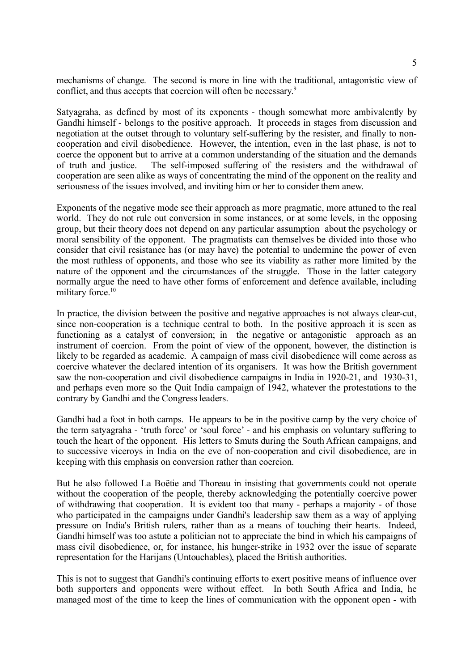mechanisms of change. The second is more in line with the traditional, antagonistic view of conflict, and thus accepts that coercion will often be necessary.<sup>[9](#page-15-8)</sup>

Satyagraha, as defined by most of its exponents - though somewhat more ambivalently by Gandhi himself - belongs to the positive approach. It proceeds in stages from discussion and negotiation at the outset through to voluntary self-suffering by the resister, and finally to noncooperation and civil disobedience. However, the intention, even in the last phase, is not to coerce the opponent but to arrive at a common understanding of the situation and the demands of truth and justice. The self-imposed suffering of the resisters and the withdrawal of cooperation are seen alike as ways of concentrating the mind of the opponent on the reality and seriousness of the issues involved, and inviting him or her to consider them anew.

Exponents of the negative mode see their approach as more pragmatic, more attuned to the real world. They do not rule out conversion in some instances, or at some levels, in the opposing group, but their theory does not depend on any particular assumption about the psychology or moral sensibility of the opponent. The pragmatists can themselves be divided into those who consider that civil resistance has (or may have) the potential to undermine the power of even the most ruthless of opponents, and those who see its viability as rather more limited by the nature of the opponent and the circumstances of the struggle. Those in the latter category normally argue the need to have other forms of enforcement and defence available, including military force. [10](#page-15-9)

In practice, the division between the positive and negative approaches is not always clear-cut, since non-cooperation is a technique central to both. In the positive approach it is seen as functioning as a catalyst of conversion; in the negative or antagonistic approach as an instrument of coercion. From the point of view of the opponent, however, the distinction is likely to be regarded as academic. A campaign of mass civil disobedience will come across as coercive whatever the declared intention of its organisers. It was how the British government saw the non-cooperation and civil disobedience campaigns in India in 1920-21, and 1930-31, and perhaps even more so the Quit India campaign of 1942, whatever the protestations to the contrary by Gandhi and the Congress leaders.

Gandhi had a foot in both camps. He appears to be in the positive camp by the very choice of the term satyagraha - 'truth force' or 'soul force' - and his emphasis on voluntary suffering to touch the heart of the opponent. His letters to Smuts during the South African campaigns, and to successive viceroys in India on the eve of non-cooperation and civil disobedience, are in keeping with this emphasis on conversion rather than coercion.

But he also followed La Boëtie and Thoreau in insisting that governments could not operate without the cooperation of the people, thereby acknowledging the potentially coercive power of withdrawing that cooperation. It is evident too that many - perhaps a majority - of those who participated in the campaigns under Gandhi's leadership saw them as a way of applying pressure on India's British rulers, rather than as a means of touching their hearts. Indeed, Gandhi himself was too astute a politician not to appreciate the bind in which his campaigns of mass civil disobedience, or, for instance, his hunger-strike in 1932 over the issue of separate representation for the Harijans (Untouchables), placed the British authorities.

This is not to suggest that Gandhi's continuing efforts to exert positive means of influence over both supporters and opponents were without effect. In both South Africa and India, he managed most of the time to keep the lines of communication with the opponent open - with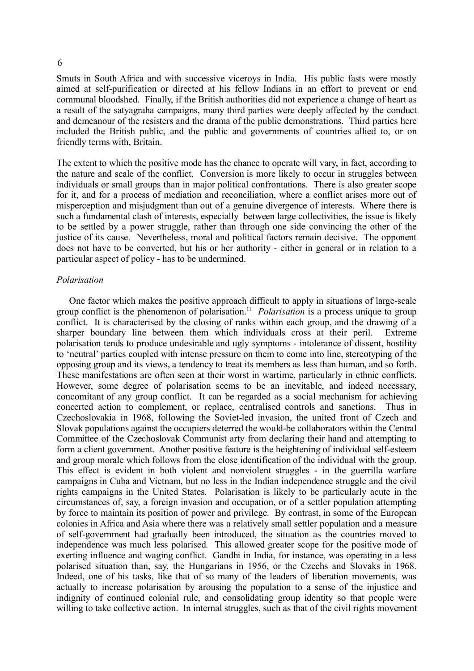Smuts in South Africa and with successive viceroys in India. His public fasts were mostly aimed at self-purification or directed at his fellow Indians in an effort to prevent or end communal bloodshed. Finally, if the British authorities did not experience a change of heart as a result of the satyagraha campaigns, many third parties were deeply affected by the conduct and demeanour of the resisters and the drama of the public demonstrations. Third parties here included the British public, and the public and governments of countries allied to, or on friendly terms with, Britain.

The extent to which the positive mode has the chance to operate will vary, in fact, according to the nature and scale of the conflict. Conversion is more likely to occur in struggles between individuals or small groups than in major political confrontations. There is also greater scope for it, and for a process of mediation and reconciliation, where a conflict arises more out of misperception and misjudgment than out of a genuine divergence of interests. Where there is such a fundamental clash of interests, especially between large collectivities, the issue is likely to be settled by a power struggle, rather than through one side convincing the other of the justice of its cause. Nevertheless, moral and political factors remain decisive. The opponent does not have to be converted, but his or her authority - either in general or in relation to a particular aspect of policy - has to be undermined.

#### *Polarisation*

One factor which makes the positive approach difficult to apply in situations of large-scale group conflict is the phenomenon of polarisation.<sup>[11](#page-15-10)</sup> *Polarisation* is a process unique to group conflict. It is characterised by the closing of ranks within each group, and the drawing of a sharper boundary line between them which individuals cross at their peril. Extreme polarisation tends to produce undesirable and ugly symptoms - intolerance of dissent, hostility to 'neutral' parties coupled with intense pressure on them to come into line, stereotyping of the opposing group and its views, a tendency to treat its members as less than human, and so forth. These manifestations are often seen at their worst in wartime, particularly in ethnic conflicts. However, some degree of polarisation seems to be an inevitable, and indeed necessary, concomitant of any group conflict. It can be regarded as a social mechanism for achieving concerted action to complement, or replace, centralised controls and sanctions. Thus in Czechoslovakia in 1968, following the Soviet-led invasion, the united front of Czech and Slovak populations against the occupiers deterred the would-be collaborators within the Central Committee of the Czechoslovak Communist arty from declaring their hand and attempting to form a client government. Another positive feature is the heightening of individual self-esteem and group morale which follows from the close identification of the individual with the group. This effect is evident in both violent and nonviolent struggles - in the guerrilla warfare campaigns in Cuba and Vietnam, but no less in the Indian independence struggle and the civil rights campaigns in the United States. Polarisation is likely to be particularly acute in the circumstances of, say, a foreign invasion and occupation, or of a settler population attempting by force to maintain its position of power and privilege. By contrast, in some of the European colonies in Africa and Asia where there was a relatively small settler population and a measure of self-government had gradually been introduced, the situation as the countries moved to independence was much less polarised. This allowed greater scope for the positive mode of exerting influence and waging conflict. Gandhi in India, for instance, was operating in a less polarised situation than, say, the Hungarians in 1956, or the Czechs and Slovaks in 1968. Indeed, one of his tasks, like that of so many of the leaders of liberation movements, was actually to increase polarisation by arousing the population to a sense of the injustice and indignity of continued colonial rule, and consolidating group identity so that people were willing to take collective action. In internal struggles, such as that of the civil rights movement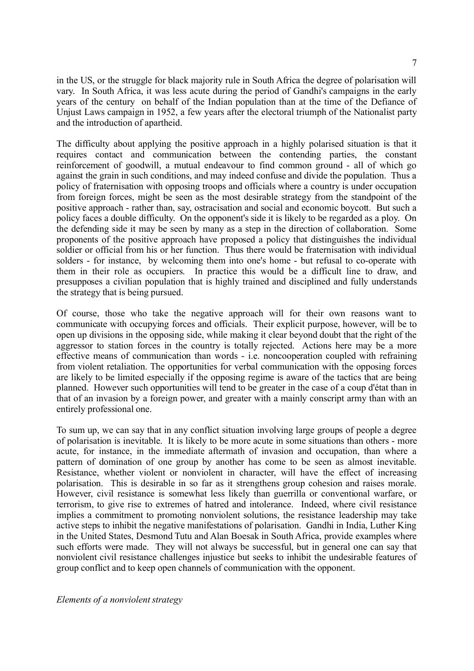in the US, or the struggle for black majority rule in South Africa the degree of polarisation will vary. In South Africa, it was less acute during the period of Gandhi's campaigns in the early years of the century on behalf of the Indian population than at the time of the Defiance of Unjust Laws campaign in 1952, a few years after the electoral triumph of the Nationalist party and the introduction of apartheid.

The difficulty about applying the positive approach in a highly polarised situation is that it requires contact and communication between the contending parties, the constant reinforcement of goodwill, a mutual endeavour to find common ground - all of which go against the grain in such conditions, and may indeed confuse and divide the population. Thus a policy of fraternisation with opposing troops and officials where a country is under occupation from foreign forces, might be seen as the most desirable strategy from the standpoint of the positive approach - rather than, say, ostracisation and social and economic boycott. But such a policy faces a double difficulty. On the opponent's side it is likely to be regarded as a ploy. On the defending side it may be seen by many as a step in the direction of collaboration. Some proponents of the positive approach have proposed a policy that distinguishes the individual soldier or official from his or her function. Thus there would be fraternisation with individual solders - for instance, by welcoming them into one's home - but refusal to co-operate with them in their role as occupiers. In practice this would be a difficult line to draw, and presupposes a civilian population that is highly trained and disciplined and fully understands the strategy that is being pursued.

Of course, those who take the negative approach will for their own reasons want to communicate with occupying forces and officials. Their explicit purpose, however, will be to open up divisions in the opposing side, while making it clear beyond doubt that the right of the aggressor to station forces in the country is totally rejected. Actions here may be a more effective means of communication than words - i.e. noncooperation coupled with refraining from violent retaliation. The opportunities for verbal communication with the opposing forces are likely to be limited especially if the opposing regime is aware of the tactics that are being planned. However such opportunities will tend to be greater in the case of a coup d'état than in that of an invasion by a foreign power, and greater with a mainly conscript army than with an entirely professional one.

To sum up, we can say that in any conflict situation involving large groups of people a degree of polarisation is inevitable. It is likely to be more acute in some situations than others - more acute, for instance, in the immediate aftermath of invasion and occupation, than where a pattern of domination of one group by another has come to be seen as almost inevitable. Resistance, whether violent or nonviolent in character, will have the effect of increasing polarisation. This is desirable in so far as it strengthens group cohesion and raises morale. However, civil resistance is somewhat less likely than guerrilla or conventional warfare, or terrorism, to give rise to extremes of hatred and intolerance. Indeed, where civil resistance implies a commitment to promoting nonviolent solutions, the resistance leadership may take active steps to inhibit the negative manifestations of polarisation. Gandhi in India, Luther King in the United States, Desmond Tutu and Alan Boesak in South Africa, provide examples where such efforts were made. They will not always be successful, but in general one can say that nonviolent civil resistance challenges injustice but seeks to inhibit the undesirable features of group conflict and to keep open channels of communication with the opponent.

*Elements of a nonviolent strategy*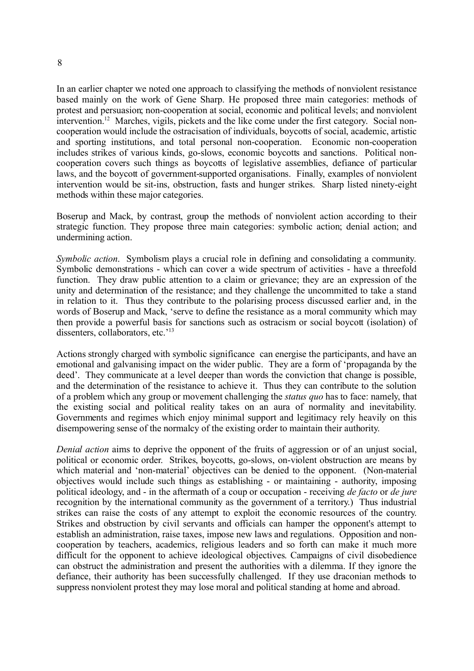In an earlier chapter we noted one approach to classifying the methods of nonviolent resistance based mainly on the work of Gene Sharp. He proposed three main categories: methods of protest and persuasion; non-cooperation at social, economic and political levels; and nonviolent intervention.<sup>[12](#page-15-11)</sup> Marches, vigils, pickets and the like come under the first category. Social noncooperation would include the ostracisation of individuals, boycotts of social, academic, artistic and sporting institutions, and total personal non-cooperation. Economic non-cooperation includes strikes of various kinds, go-slows, economic boycotts and sanctions. Political noncooperation covers such things as boycotts of legislative assemblies, defiance of particular laws, and the boycott of government-supported organisations. Finally, examples of nonviolent intervention would be sit-ins, obstruction, fasts and hunger strikes. Sharp listed ninety-eight methods within these major categories.

Boserup and Mack, by contrast, group the methods of nonviolent action according to their strategic function. They propose three main categories: symbolic action; denial action; and undermining action.

*Symbolic action*. Symbolism plays a crucial role in defining and consolidating a community. Symbolic demonstrations - which can cover a wide spectrum of activities - have a threefold function. They draw public attention to a claim or grievance; they are an expression of the unity and determination of the resistance; and they challenge the uncommitted to take a stand in relation to it. Thus they contribute to the polarising process discussed earlier and, in the words of Boserup and Mack, 'serve to define the resistance as a moral community which may then provide a powerful basis for sanctions such as ostracism or social boycott (isolation) of dissenters, collaborators, etc.<sup>'[13](#page-15-12)</sup>

Actions strongly charged with symbolic significance can energise the participants, and have an emotional and galvanising impact on the wider public. They are a form of 'propaganda by the deed'. They communicate at a level deeper than words the conviction that change is possible, and the determination of the resistance to achieve it. Thus they can contribute to the solution of a problem which any group or movement challenging the *status quo* has to face: namely, that the existing social and political reality takes on an aura of normality and inevitability. Governments and regimes which enjoy minimal support and legitimacy rely heavily on this disempowering sense of the normalcy of the existing order to maintain their authority.

*Denial action* aims to deprive the opponent of the fruits of aggression or of an unjust social, political or economic order. Strikes, boycotts, go-slows, on-violent obstruction are means by which material and 'non-material' objectives can be denied to the opponent. (Non-material objectives would include such things as establishing - or maintaining - authority, imposing political ideology, and - in the aftermath of a coup or occupation - receiving *de facto* or *de jure* recognition by the international community as the government of a territory.) Thus industrial strikes can raise the costs of any attempt to exploit the economic resources of the country. Strikes and obstruction by civil servants and officials can hamper the opponent's attempt to establish an administration, raise taxes, impose new laws and regulations. Opposition and noncooperation by teachers, academics, religious leaders and so forth can make it much more difficult for the opponent to achieve ideological objectives. Campaigns of civil disobedience can obstruct the administration and present the authorities with a dilemma. If they ignore the defiance, their authority has been successfully challenged. If they use draconian methods to suppress nonviolent protest they may lose moral and political standing at home and abroad.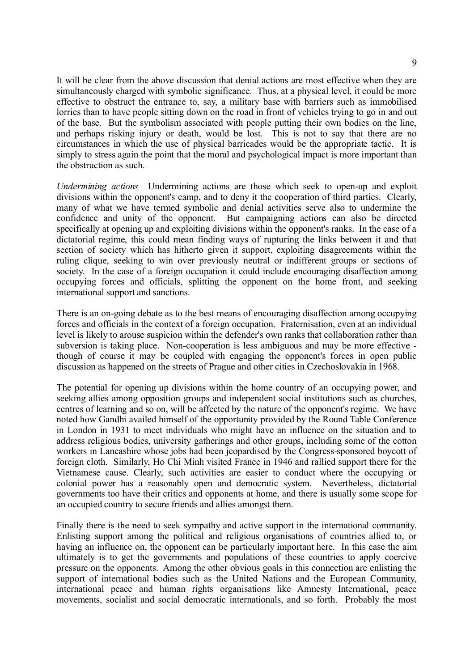It will be clear from the above discussion that denial actions are most effective when they are simultaneously charged with symbolic significance. Thus, at a physical level, it could be more effective to obstruct the entrance to, say, a military base with barriers such as immobilised lorries than to have people sitting down on the road in front of vehicles trying to go in and out of the base. But the symbolism associated with people putting their own bodies on the line, and perhaps risking injury or death, would be lost. This is not to say that there are no circumstances in which the use of physical barricades would be the appropriate tactic. It is simply to stress again the point that the moral and psychological impact is more important than the obstruction as such.

*Undermining actions* Undermining actions are those which seek to open-up and exploit divisions within the opponent's camp, and to deny it the cooperation of third parties. Clearly, many of what we have termed symbolic and denial activities serve also to undermine the confidence and unity of the opponent. But campaigning actions can also be directed specifically at opening up and exploiting divisions within the opponent's ranks. In the case of a dictatorial regime, this could mean finding ways of rupturing the links between it and that section of society which has hitherto given it support, exploiting disagreements within the ruling clique, seeking to win over previously neutral or indifferent groups or sections of society. In the case of a foreign occupation it could include encouraging disaffection among occupying forces and officials, splitting the opponent on the home front, and seeking international support and sanctions.

There is an on-going debate as to the best means of encouraging disaffection among occupying forces and officials in the context of a foreign occupation. Fraternisation, even at an individual level is likely to arouse suspicion within the defender's own ranks that collaboration rather than subversion is taking place. Non-cooperation is less ambiguous and may be more effective though of course it may be coupled with engaging the opponent's forces in open public discussion as happened on the streets of Prague and other cities in Czechoslovakia in 1968.

The potential for opening up divisions within the home country of an occupying power, and seeking allies among opposition groups and independent social institutions such as churches, centres of learning and so on, will be affected by the nature of the opponent's regime. We have noted how Gandhi availed himself of the opportunity provided by the Round Table Conference in London in 1931 to meet individuals who might have an influence on the situation and to address religious bodies, university gatherings and other groups, including some of the cotton workers in Lancashire whose jobs had been jeopardised by the Congress-sponsored boycott of foreign cloth. Similarly, Ho Chi Minh visited France in 1946 and rallied support there for the Vietnamese cause. Clearly, such activities are easier to conduct where the occupying or colonial power has a reasonably open and democratic system. Nevertheless, dictatorial governments too have their critics and opponents at home, and there is usually some scope for an occupied country to secure friends and allies amongst them.

Finally there is the need to seek sympathy and active support in the international community. Enlisting support among the political and religious organisations of countries allied to, or having an influence on, the opponent can be particularly important here. In this case the aim ultimately is to get the governments and populations of these countries to apply coercive pressure on the opponents. Among the other obvious goals in this connection are enlisting the support of international bodies such as the United Nations and the European Community, international peace and human rights organisations like Amnesty International, peace movements, socialist and social democratic internationals, and so forth. Probably the most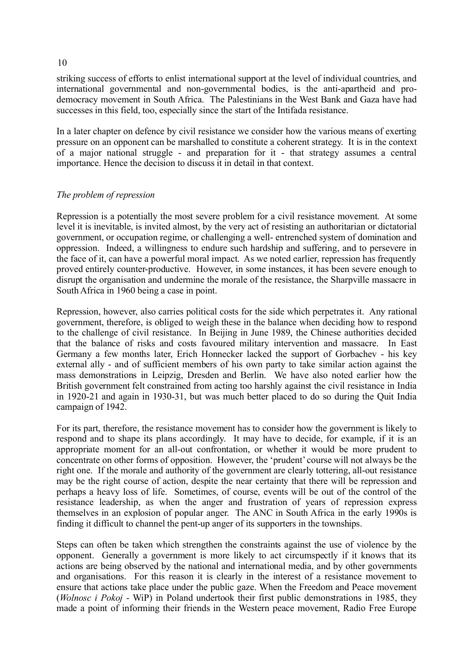striking success of efforts to enlist international support at the level of individual countries, and international governmental and non-governmental bodies, is the anti-apartheid and prodemocracy movement in South Africa. The Palestinians in the West Bank and Gaza have had successes in this field, too, especially since the start of the Intifada resistance.

In a later chapter on defence by civil resistance we consider how the various means of exerting pressure on an opponent can be marshalled to constitute a coherent strategy. It is in the context of a major national struggle - and preparation for it - that strategy assumes a central importance. Hence the decision to discuss it in detail in that context.

#### *The problem of repression*

Repression is a potentially the most severe problem for a civil resistance movement. At some level it is inevitable, is invited almost, by the very act of resisting an authoritarian or dictatorial government, or occupation regime, or challenging a well- entrenched system of domination and oppression. Indeed, a willingness to endure such hardship and suffering, and to persevere in the face of it, can have a powerful moral impact. As we noted earlier, repression has frequently proved entirely counter-productive. However, in some instances, it has been severe enough to disrupt the organisation and undermine the morale of the resistance, the Sharpville massacre in South Africa in 1960 being a case in point.

Repression, however, also carries political costs for the side which perpetrates it. Any rational government, therefore, is obliged to weigh these in the balance when deciding how to respond to the challenge of civil resistance. In Beijing in June 1989, the Chinese authorities decided that the balance of risks and costs favoured military intervention and massacre. In East Germany a few months later, Erich Honnecker lacked the support of Gorbachev - his key external ally - and of sufficient members of his own party to take similar action against the mass demonstrations in Leipzig, Dresden and Berlin. We have also noted earlier how the British government felt constrained from acting too harshly against the civil resistance in India in 1920-21 and again in 1930-31, but was much better placed to do so during the Quit India campaign of 1942.

For its part, therefore, the resistance movement has to consider how the government is likely to respond and to shape its plans accordingly. It may have to decide, for example, if it is an appropriate moment for an all-out confrontation, or whether it would be more prudent to concentrate on other forms of opposition. However, the 'prudent' course will not always be the right one. If the morale and authority of the government are clearly tottering, all-out resistance may be the right course of action, despite the near certainty that there will be repression and perhaps a heavy loss of life. Sometimes, of course, events will be out of the control of the resistance leadership, as when the anger and frustration of years of repression express themselves in an explosion of popular anger. The ANC in South Africa in the early 1990s is finding it difficult to channel the pent-up anger of its supporters in the townships.

Steps can often be taken which strengthen the constraints against the use of violence by the opponent. Generally a government is more likely to act circumspectly if it knows that its actions are being observed by the national and international media, and by other governments and organisations. For this reason it is clearly in the interest of a resistance movement to ensure that actions take place under the public gaze. When the Freedom and Peace movement (*Wolnosc i Pokoj* - WiP) in Poland undertook their first public demonstrations in 1985, they made a point of informing their friends in the Western peace movement, Radio Free Europe

10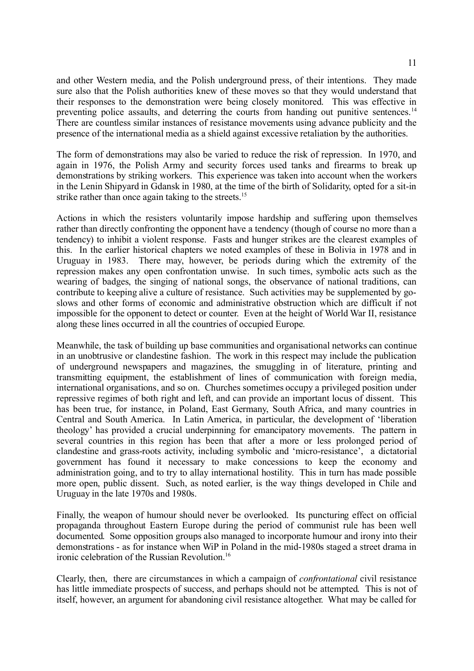and other Western media, and the Polish underground press, of their intentions. They made sure also that the Polish authorities knew of these moves so that they would understand that their responses to the demonstration were being closely monitored. This was effective in preventing police assaults, and deterring the courts from handing out punitive sentences.<sup>[14](#page-15-13)</sup> There are countless similar instances of resistance movements using advance publicity and the presence of the international media as a shield against excessive retaliation by the authorities.

The form of demonstrations may also be varied to reduce the risk of repression. In 1970, and again in 1976, the Polish Army and security forces used tanks and firearms to break up demonstrations by striking workers. This experience was taken into account when the workers in the Lenin Shipyard in Gdansk in 1980, at the time of the birth of Solidarity, opted for a sit-in strike rather than once again taking to the streets.<sup>[15](#page-15-14)</sup>

Actions in which the resisters voluntarily impose hardship and suffering upon themselves rather than directly confronting the opponent have a tendency (though of course no more than a tendency) to inhibit a violent response. Fasts and hunger strikes are the clearest examples of this. In the earlier historical chapters we noted examples of these in Bolivia in 1978 and in Uruguay in 1983. There may, however, be periods during which the extremity of the repression makes any open confrontation unwise. In such times, symbolic acts such as the wearing of badges, the singing of national songs, the observance of national traditions, can contribute to keeping alive a culture of resistance. Such activities may be supplemented by goslows and other forms of economic and administrative obstruction which are difficult if not impossible for the opponent to detect or counter. Even at the height of World War II, resistance along these lines occurred in all the countries of occupied Europe.

Meanwhile, the task of building up base communities and organisational networks can continue in an unobtrusive or clandestine fashion. The work in this respect may include the publication of underground newspapers and magazines, the smuggling in of literature, printing and transmitting equipment, the establishment of lines of communication with foreign media, international organisations, and so on. Churches sometimes occupy a privileged position under repressive regimes of both right and left, and can provide an important locus of dissent. This has been true, for instance, in Poland, East Germany, South Africa, and many countries in Central and South America. In Latin America, in particular, the development of 'liberation theology' has provided a crucial underpinning for emancipatory movements. The pattern in several countries in this region has been that after a more or less prolonged period of clandestine and grass-roots activity, including symbolic and 'micro-resistance', a dictatorial government has found it necessary to make concessions to keep the economy and administration going, and to try to allay international hostility. This in turn has made possible more open, public dissent. Such, as noted earlier, is the way things developed in Chile and Uruguay in the late 1970s and 1980s.

Finally, the weapon of humour should never be overlooked. Its puncturing effect on official propaganda throughout Eastern Europe during the period of communist rule has been well documented. Some opposition groups also managed to incorporate humour and irony into their demonstrations - as for instance when WiP in Poland in the mid-1980s staged a street drama in ironic celebration of the Russian Revolution. [16](#page-15-15)

Clearly, then, there are circumstances in which a campaign of *confrontational* civil resistance has little immediate prospects of success, and perhaps should not be attempted. This is not of itself, however, an argument for abandoning civil resistance altogether. What may be called for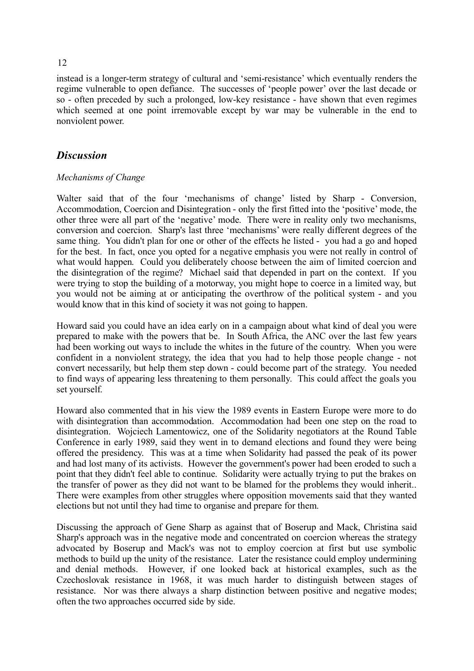instead is a longer-term strategy of cultural and 'semi-resistance' which eventually renders the regime vulnerable to open defiance. The successes of 'people power' over the last decade or so - often preceded by such a prolonged, low-key resistance - have shown that even regimes which seemed at one point irremovable except by war may be vulnerable in the end to nonviolent power.

### *Discussion*

#### *Mechanisms of Change*

Walter said that of the four 'mechanisms of change' listed by Sharp - Conversion, Accommodation, Coercion and Disintegration - only the first fitted into the 'positive' mode, the other three were all part of the 'negative' mode. There were in reality only two mechanisms, conversion and coercion. Sharp's last three 'mechanisms' were really different degrees of the same thing. You didn't plan for one or other of the effects he listed - you had a go and hoped for the best. In fact, once you opted for a negative emphasis you were not really in control of what would happen. Could you deliberately choose between the aim of limited coercion and the disintegration of the regime? Michael said that depended in part on the context. If you were trying to stop the building of a motorway, you might hope to coerce in a limited way, but you would not be aiming at or anticipating the overthrow of the political system - and you would know that in this kind of society it was not going to happen.

Howard said you could have an idea early on in a campaign about what kind of deal you were prepared to make with the powers that be. In South Africa, the ANC over the last few years had been working out ways to include the whites in the future of the country. When you were confident in a nonviolent strategy, the idea that you had to help those people change - not convert necessarily, but help them step down - could become part of the strategy. You needed to find ways of appearing less threatening to them personally. This could affect the goals you set yourself.

Howard also commented that in his view the 1989 events in Eastern Europe were more to do with disintegration than accommodation. Accommodation had been one step on the road to disintegration. Wojciech Lamentowicz, one of the Solidarity negotiators at the Round Table Conference in early 1989, said they went in to demand elections and found they were being offered the presidency. This was at a time when Solidarity had passed the peak of its power and had lost many of its activists. However the government's power had been eroded to such a point that they didn't feel able to continue. Solidarity were actually trying to put the brakes on the transfer of power as they did not want to be blamed for the problems they would inherit.. There were examples from other struggles where opposition movements said that they wanted elections but not until they had time to organise and prepare for them.

Discussing the approach of Gene Sharp as against that of Boserup and Mack, Christina said Sharp's approach was in the negative mode and concentrated on coercion whereas the strategy advocated by Boserup and Mack's was not to employ coercion at first but use symbolic methods to build up the unity of the resistance. Later the resistance could employ undermining and denial methods. However, if one looked back at historical examples, such as the Czechoslovak resistance in 1968, it was much harder to distinguish between stages of resistance. Nor was there always a sharp distinction between positive and negative modes; often the two approaches occurred side by side.

#### 12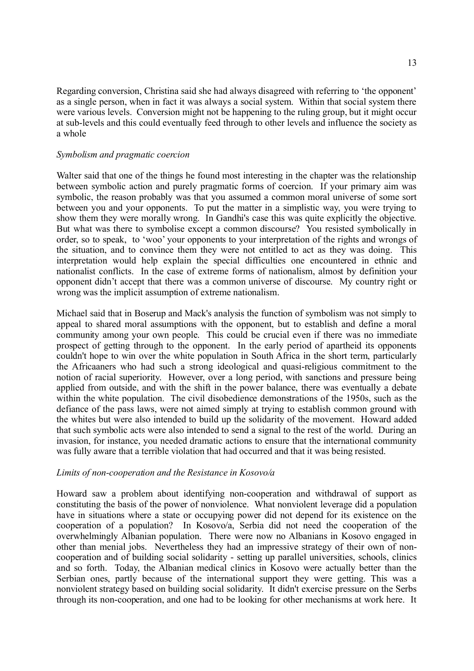Regarding conversion, Christina said she had always disagreed with referring to 'the opponent' as a single person, when in fact it was always a social system. Within that social system there were various levels. Conversion might not be happening to the ruling group, but it might occur at sub-levels and this could eventually feed through to other levels and influence the society as a whole

#### *Symbolism and pragmatic coercion*

Walter said that one of the things he found most interesting in the chapter was the relationship between symbolic action and purely pragmatic forms of coercion. If your primary aim was symbolic, the reason probably was that you assumed a common moral universe of some sort between you and your opponents. To put the matter in a simplistic way, you were trying to show them they were morally wrong. In Gandhi's case this was quite explicitly the objective. But what was there to symbolise except a common discourse? You resisted symbolically in order, so to speak, to 'woo' your opponents to your interpretation of the rights and wrongs of the situation, and to convince them they were not entitled to act as they was doing. This interpretation would help explain the special difficulties one encountered in ethnic and nationalist conflicts. In the case of extreme forms of nationalism, almost by definition your opponent didn't accept that there was a common universe of discourse. My country right or wrong was the implicit assumption of extreme nationalism.

Michael said that in Boserup and Mack's analysis the function of symbolism was not simply to appeal to shared moral assumptions with the opponent, but to establish and define a moral community among your own people. This could be crucial even if there was no immediate prospect of getting through to the opponent. In the early period of apartheid its opponents couldn't hope to win over the white population in South Africa in the short term, particularly the Africaaners who had such a strong ideological and quasi-religious commitment to the notion of racial superiority. However, over a long period, with sanctions and pressure being applied from outside, and with the shift in the power balance, there was eventually a debate within the white population. The civil disobedience demonstrations of the 1950s, such as the defiance of the pass laws, were not aimed simply at trying to establish common ground with the whites but were also intended to build up the solidarity of the movement. Howard added that such symbolic acts were also intended to send a signal to the rest of the world. During an invasion, for instance, you needed dramatic actions to ensure that the international community was fully aware that a terrible violation that had occurred and that it was being resisted.

#### *Limits of non-cooperation and the Resistance in Kosovo/a*

Howard saw a problem about identifying non-cooperation and withdrawal of support as constituting the basis of the power of nonviolence. What nonviolent leverage did a population have in situations where a state or occupying power did not depend for its existence on the cooperation of a population? In Kosovo/a, Serbia did not need the cooperation of the overwhelmingly Albanian population. There were now no Albanians in Kosovo engaged in other than menial jobs. Nevertheless they had an impressive strategy of their own of noncooperation and of building social solidarity - setting up parallel universities, schools, clinics and so forth. Today, the Albanian medical clinics in Kosovo were actually better than the Serbian ones, partly because of the international support they were getting. This was a nonviolent strategy based on building social solidarity. It didn't exercise pressure on the Serbs through its non-cooperation, and one had to be looking for other mechanisms at work here. It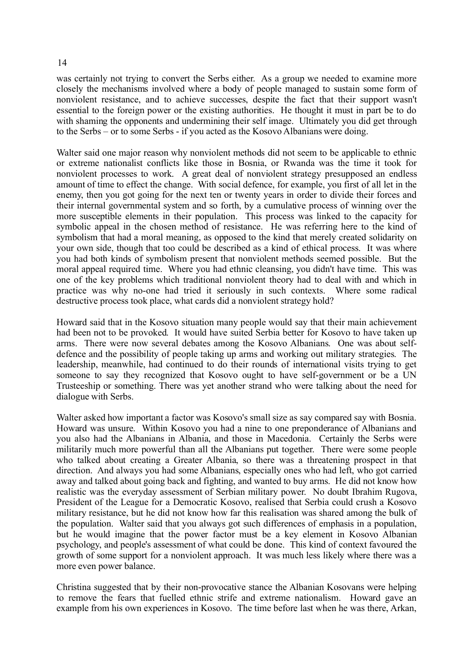was certainly not trying to convert the Serbs either. As a group we needed to examine more closely the mechanisms involved where a body of people managed to sustain some form of nonviolent resistance, and to achieve successes, despite the fact that their support wasn't essential to the foreign power or the existing authorities. He thought it must in part be to do with shaming the opponents and undermining their self image. Ultimately you did get through to the Serbs – or to some Serbs - if you acted as the Kosovo Albanians were doing.

Walter said one major reason why nonviolent methods did not seem to be applicable to ethnic or extreme nationalist conflicts like those in Bosnia, or Rwanda was the time it took for nonviolent processes to work. A great deal of nonviolent strategy presupposed an endless amount of time to effect the change. With social defence, for example, you first of all let in the enemy, then you got going for the next ten or twenty years in order to divide their forces and their internal governmental system and so forth, by a cumulative process of winning over the more susceptible elements in their population. This process was linked to the capacity for symbolic appeal in the chosen method of resistance. He was referring here to the kind of symbolism that had a moral meaning, as opposed to the kind that merely created solidarity on your own side, though that too could be described as a kind of ethical process. It was where you had both kinds of symbolism present that nonviolent methods seemed possible. But the moral appeal required time. Where you had ethnic cleansing, you didn't have time. This was one of the key problems which traditional nonviolent theory had to deal with and which in practice was why no-one had tried it seriously in such contexts. Where some radical destructive process took place, what cards did a nonviolent strategy hold?

Howard said that in the Kosovo situation many people would say that their main achievement had been not to be provoked. It would have suited Serbia better for Kosovo to have taken up arms. There were now several debates among the Kosovo Albanians. One was about selfdefence and the possibility of people taking up arms and working out military strategies. The leadership, meanwhile, had continued to do their rounds of international visits trying to get someone to say they recognized that Kosovo ought to have self-government or be a UN Trusteeship or something. There was yet another strand who were talking about the need for dialogue with Serbs.

Walter asked how important a factor was Kosovo's small size as say compared say with Bosnia. Howard was unsure. Within Kosovo you had a nine to one preponderance of Albanians and you also had the Albanians in Albania, and those in Macedonia. Certainly the Serbs were militarily much more powerful than all the Albanians put together. There were some people who talked about creating a Greater Albania, so there was a threatening prospect in that direction. And always you had some Albanians, especially ones who had left, who got carried away and talked about going back and fighting, and wanted to buy arms. He did not know how realistic was the everyday assessment of Serbian military power. No doubt Ibrahim Rugova, President of the League for a Democratic Kosovo, realised that Serbia could crush a Kosovo military resistance, but he did not know how far this realisation was shared among the bulk of the population. Walter said that you always got such differences of emphasis in a population, but he would imagine that the power factor must be a key element in Kosovo Albanian psychology, and people's assessment of what could be done. This kind of context favoured the growth of some support for a nonviolent approach. It was much less likely where there was a more even power balance.

Christina suggested that by their non-provocative stance the Albanian Kosovans were helping to remove the fears that fuelled ethnic strife and extreme nationalism. Howard gave an example from his own experiences in Kosovo. The time before last when he was there, Arkan,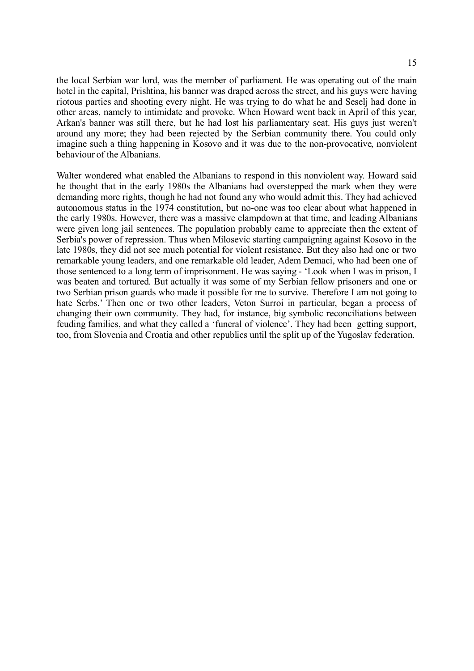the local Serbian war lord, was the member of parliament. He was operating out of the main hotel in the capital, Prishtina, his banner was draped across the street, and his guys were having riotous parties and shooting every night. He was trying to do what he and Seselj had done in other areas, namely to intimidate and provoke. When Howard went back in April of this year, Arkan's banner was still there, but he had lost his parliamentary seat. His guys just weren't around any more; they had been rejected by the Serbian community there. You could only imagine such a thing happening in Kosovo and it was due to the non-provocative, nonviolent behaviour of the Albanians.

Walter wondered what enabled the Albanians to respond in this nonviolent way. Howard said he thought that in the early 1980s the Albanians had overstepped the mark when they were demanding more rights, though he had not found any who would admit this. They had achieved autonomous status in the 1974 constitution, but no-one was too clear about what happened in the early 1980s. However, there was a massive clampdown at that time, and leading Albanians were given long jail sentences. The population probably came to appreciate then the extent of Serbia's power of repression. Thus when Milosevic starting campaigning against Kosovo in the late 1980s, they did not see much potential for violent resistance. But they also had one or two remarkable young leaders, and one remarkable old leader, Adem Demaci, who had been one of those sentenced to a long term of imprisonment. He was saying - 'Look when I was in prison, I was beaten and tortured. But actually it was some of my Serbian fellow prisoners and one or two Serbian prison guards who made it possible for me to survive. Therefore I am not going to hate Serbs.' Then one or two other leaders, Veton Surroi in particular, began a process of changing their own community. They had, for instance, big symbolic reconciliations between feuding families, and what they called a 'funeral of violence'. They had been getting support, too, from Slovenia and Croatia and other republics until the split up of the Yugoslav federation.